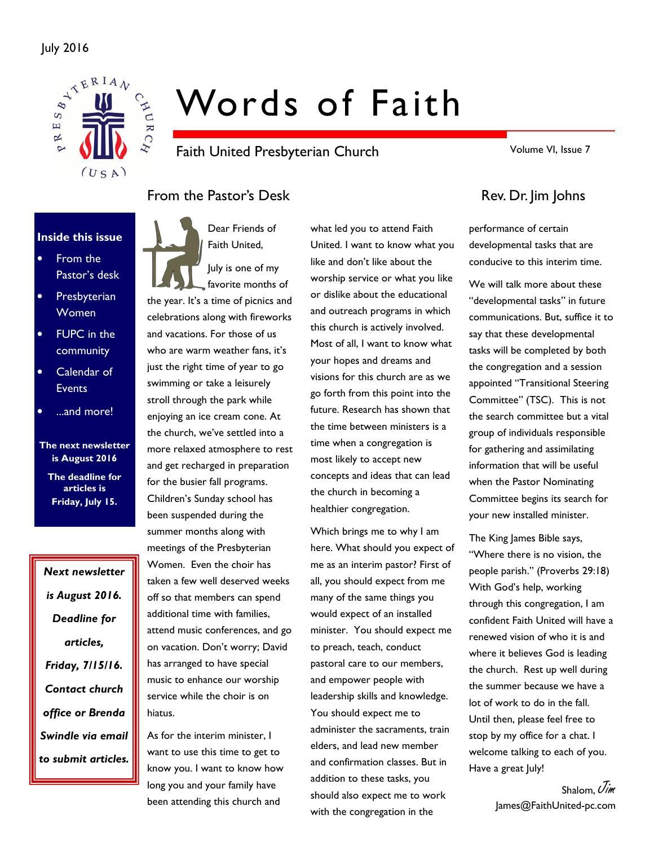

# Words of Faith

Faith United Presbyterian Church

Volume VI, Issue 7

# From the Pastor's Desk Rev. Dr. Jim Johns

#### Inside this issue

- From the Pastor's desk
- **Presbyterian** Women
- FUPC in the community
- Calendar of **Events**
- ...and more!

The next newsletter is August 2016 The deadline for

articles is Friday, July 15.

Next newsletter is August 2016. Deadline for articles, Friday, 7/15/16. Contact church office or Brenda Swindle via email to submit articles. Dear Friends of Faith United,



the year. It's a time of picnics and celebrations along with fireworks and vacations. For those of us who are warm weather fans, it's just the right time of year to go swimming or take a leisurely stroll through the park while enjoying an ice cream cone. At the church, we've settled into a more relaxed atmosphere to rest and get recharged in preparation for the busier fall programs. Children's Sunday school has been suspended during the summer months along with meetings of the Presbyterian Women. Even the choir has taken a few well deserved weeks off so that members can spend additional time with families, attend music conferences, and go on vacation. Don't worry; David has arranged to have special music to enhance our worship service while the choir is on hiatus.

As for the interim minister, I want to use this time to get to know you. I want to know how long you and your family have been attending this church and

what led you to attend Faith United. I want to know what you like and don't like about the worship service or what you like or dislike about the educational and outreach programs in which this church is actively involved. Most of all, I want to know what your hopes and dreams and visions for this church are as we go forth from this point into the future. Research has shown that the time between ministers is a time when a congregation is most likely to accept new concepts and ideas that can lead the church in becoming a healthier congregation.

Which brings me to why I am here. What should you expect of me as an interim pastor? First of all, you should expect from me many of the same things you would expect of an installed minister. You should expect me to preach, teach, conduct pastoral care to our members, and empower people with leadership skills and knowledge. You should expect me to administer the sacraments, train elders, and lead new member and confirmation classes. But in addition to these tasks, you should also expect me to work with the congregation in the

performance of certain developmental tasks that are conducive to this interim time.

We will talk more about these "developmental tasks" in future communications. But, suffice it to say that these developmental tasks will be completed by both the congregation and a session appointed "Transitional Steering Committee" (TSC). This is not the search committee but a vital group of individuals responsible for gathering and assimilating information that will be useful when the Pastor Nominating Committee begins its search for your new installed minister.

The King James Bible says, "Where there is no vision, the people parish." (Proverbs 29:18) With God's help, working through this congregation, I am confident Faith United will have a renewed vision of who it is and where it believes God is leading the church. Rest up well during the summer because we have a lot of work to do in the fall. Until then, please feel free to stop by my office for a chat. I welcome talking to each of you. Have a great July!

> Shalom,  $\mathcal{N}_{\mathcal{U}}$ James@FaithUnited-pc.com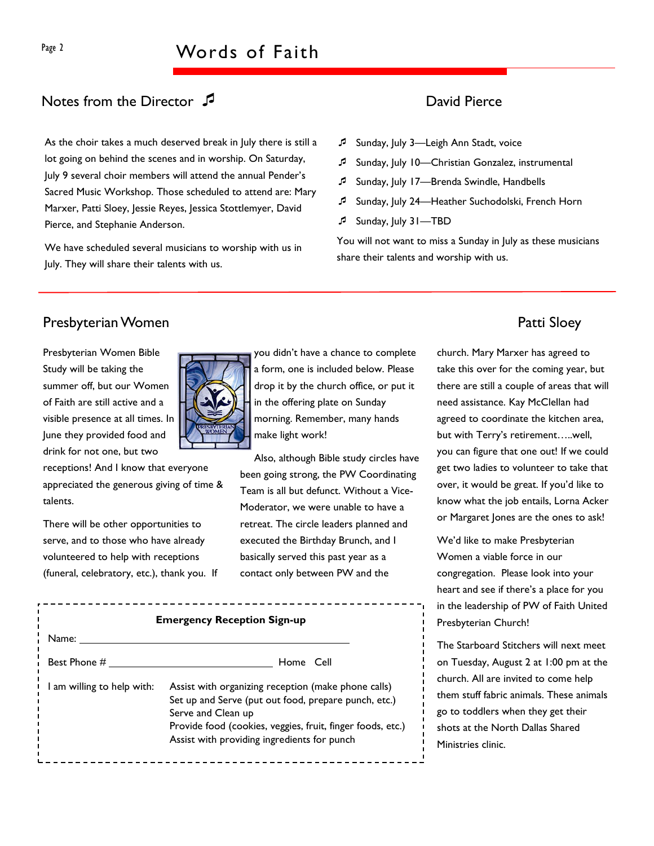# Notes from the Director  $\sqrt{2}$  and David Pierce

As the choir takes a much deserved break in July there is still a lot going on behind the scenes and in worship. On Saturday, July 9 several choir members will attend the annual Pender's Sacred Music Workshop. Those scheduled to attend are: Mary Marxer, Patti Sloey, Jessie Reyes, Jessica Stottlemyer, David Pierce, and Stephanie Anderson.

We have scheduled several musicians to worship with us in July. They will share their talents with us.

- Sunday, July 3-Leigh Ann Stadt, voice
- Sunday, July 10—Christian Gonzalez, instrumental
- Sunday, July 17—Brenda Swindle, Handbells
- Sunday, July 24—Heather Suchodolski, French Horn
- Sunday, July 31—TBD

You will not want to miss a Sunday in July as these musicians share their talents and worship with us.

## Presbyterian Women **Patti Sloey**

Presbyterian Women Bible Study will be taking the summer off, but our Women of Faith are still active and a visible presence at all times. In June they provided food and drink for not one, but two



receptions! And I know that everyone appreciated the generous giving of time & talents.

There will be other opportunities to serve, and to those who have already volunteered to help with receptions (funeral, celebratory, etc.), thank you. If you didn't have a chance to complete a form, one is included below. Please drop it by the church office, or put it in the offering plate on Sunday morning. Remember, many hands make light work!

Also, although Bible study circles have been going strong, the PW Coordinating Team is all but defunct. Without a Vice-Moderator, we were unable to have a retreat. The circle leaders planned and executed the Birthday Brunch, and I basically served this past year as a contact only between PW and the

church. Mary Marxer has agreed to take this over for the coming year, but there are still a couple of areas that will need assistance. Kay McClellan had agreed to coordinate the kitchen area, but with Terry's retirement…..well, you can figure that one out! If we could get two ladies to volunteer to take that over, it would be great. If you'd like to know what the job entails, Lorna Acker or Margaret Jones are the ones to ask!

We'd like to make Presbyterian Women a viable force in our congregation. Please look into your heart and see if there's a place for you in the leadership of PW of Faith United Presbyterian Church!

The Starboard Stitchers will next meet on Tuesday, August 2 at 1:00 pm at the church. All are invited to come help them stuff fabric animals. These animals go to toddlers when they get their shots at the North Dallas Shared Ministries clinic.

| <b>Emergency Reception Sign-up</b> |                                                                                                                                                                                                                                                |  |  |  |  |  |
|------------------------------------|------------------------------------------------------------------------------------------------------------------------------------------------------------------------------------------------------------------------------------------------|--|--|--|--|--|
| Name:                              |                                                                                                                                                                                                                                                |  |  |  |  |  |
| Best Phone #                       | Home Cell                                                                                                                                                                                                                                      |  |  |  |  |  |
| I am willing to help with:         | Assist with organizing reception (make phone calls)<br>Set up and Serve (put out food, prepare punch, etc.)<br>Serve and Clean up<br>Provide food (cookies, veggies, fruit, finger foods, etc.)<br>Assist with providing ingredients for punch |  |  |  |  |  |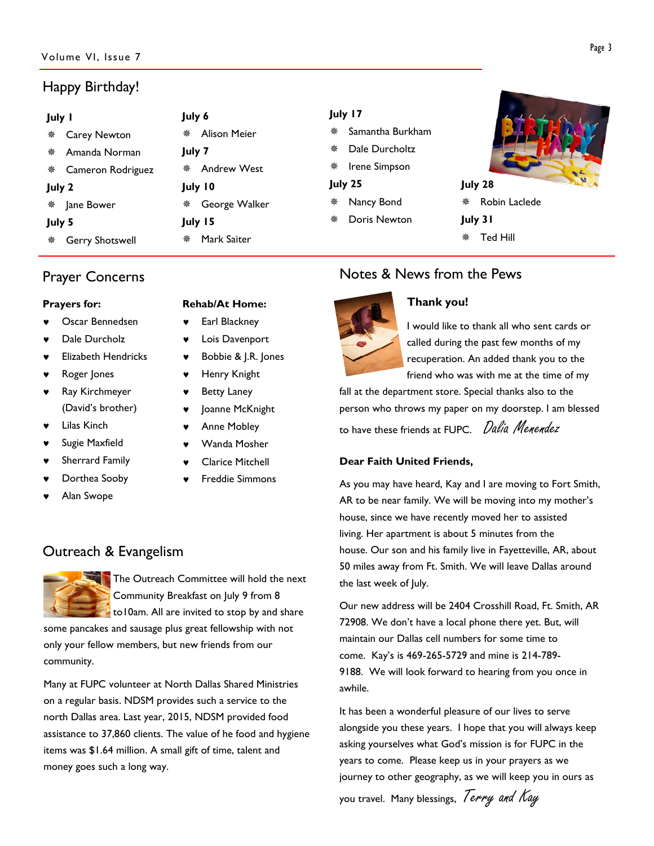# Happy Birthday!

| July I                 | July 6              | July 17             |                          |
|------------------------|---------------------|---------------------|--------------------------|
| <b>Carey Newton</b>    | <b>Alison Meier</b> | Samantha Burkham    |                          |
|                        |                     | 豢                   |                          |
| Amanda Norman<br>豢     | July 7              | Dale Durcholtz<br>榮 |                          |
| Cameron Rodriguez      | <b>Andrew West</b>  | Irene Simpson       |                          |
|                        | 榮                   |                     |                          |
| July 2                 | July 10             | July 25             | $\frac{1}{y}$<br>July 28 |
| Jane Bower             | George Walker       | Nancy Bond          | Robin Laclede            |
|                        | 楽                   |                     | 豢                        |
| July 5                 | July 15             | Doris Newton<br>豢   | July 31                  |
| <b>Gerry Shotswell</b> | Mark Saiter         |                     | Ted Hill                 |
| 豢                      | 榮                   |                     |                          |

# Prayer Concerns

#### Prayers for:

- Oscar Bennedsen
- Dale Durcholz
- **Elizabeth Hendricks**
- Roger Jones
- Ray Kirchmeyer (David's brother)
- **Lilas Kinch**
- Sugie Maxfield
- Sherrard Family
- Dorthea Sooby
- Alan Swope
- Rehab/At Home:
- Earl Blackney
- Lois Davenport
- Bobbie & J.R. Jones
- Henry Knight
- **Betty Laney**
- Joanne McKnight
- Anne Mobley
- Wanda Mosher
- **Clarice Mitchell**
- **Freddie Simmons**

# Outreach & Evangelism



The Outreach Committee will hold the next Community Breakfast on July 9 from 8 to10am. All are invited to stop by and share

some pancakes and sausage plus great fellowship with not only your fellow members, but new friends from our community.

Many at FUPC volunteer at North Dallas Shared Ministries on a regular basis. NDSM provides such a service to the north Dallas area. Last year, 2015, NDSM provided food assistance to 37,860 clients. The value of he food and hygiene items was \$1.64 million. A small gift of time, talent and money goes such a long way.

# Notes & News from the Pews



### Thank you!

I would like to thank all who sent cards or called during the past few months of my recuperation. An added thank you to the friend who was with me at the time of my

fall at the department store. Special thanks also to the person who throws my paper on my doorstep. I am blessed to have these friends at FUPC. *Dalia Menendez* 

### Dear Faith United Friends,

As you may have heard, Kay and I are moving to Fort Smith, AR to be near family. We will be moving into my mother's house, since we have recently moved her to assisted living. Her apartment is about 5 minutes from the house. Our son and his family live in Fayetteville, AR, about 50 miles away from Ft. Smith. We will leave Dallas around the last week of July.

Our new address will be 2404 Crosshill Road, Ft. Smith, AR 72908. We don't have a local phone there yet. But, will maintain our Dallas cell numbers for some time to come. Kay's is 469-265-5729 and mine is 214-789- 9188. We will look forward to hearing from you once in awhile.

It has been a wonderful pleasure of our lives to serve alongside you these years. I hope that you will always keep asking yourselves what God's mission is for FUPC in the years to come. Please keep us in your prayers as we journey to other geography, as we will keep you in ours as

you travel. Many blessings, Terry and Kay